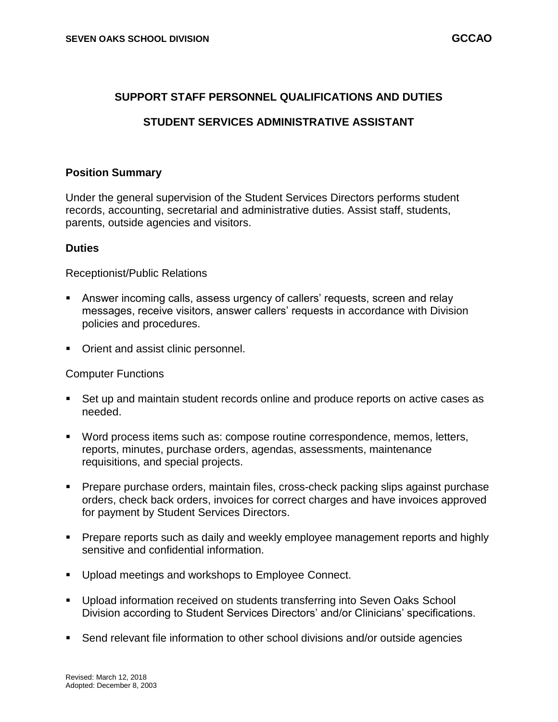### **SUPPORT STAFF PERSONNEL QUALIFICATIONS AND DUTIES**

# **STUDENT SERVICES ADMINISTRATIVE ASSISTANT**

### **Position Summary**

Under the general supervision of the Student Services Directors performs student records, accounting, secretarial and administrative duties. Assist staff, students, parents, outside agencies and visitors.

### **Duties**

Receptionist/Public Relations

- Answer incoming calls, assess urgency of callers' requests, screen and relay messages, receive visitors, answer callers' requests in accordance with Division policies and procedures.
- Orient and assist clinic personnel.

#### Computer Functions

- Set up and maintain student records online and produce reports on active cases as needed.
- Word process items such as: compose routine correspondence, memos, letters, reports, minutes, purchase orders, agendas, assessments, maintenance requisitions, and special projects.
- Prepare purchase orders, maintain files, cross-check packing slips against purchase orders, check back orders, invoices for correct charges and have invoices approved for payment by Student Services Directors.
- **Prepare reports such as daily and weekly employee management reports and highly** sensitive and confidential information.
- **Upload meetings and workshops to Employee Connect.**
- Upload information received on students transferring into Seven Oaks School Division according to Student Services Directors' and/or Clinicians' specifications.
- Send relevant file information to other school divisions and/or outside agencies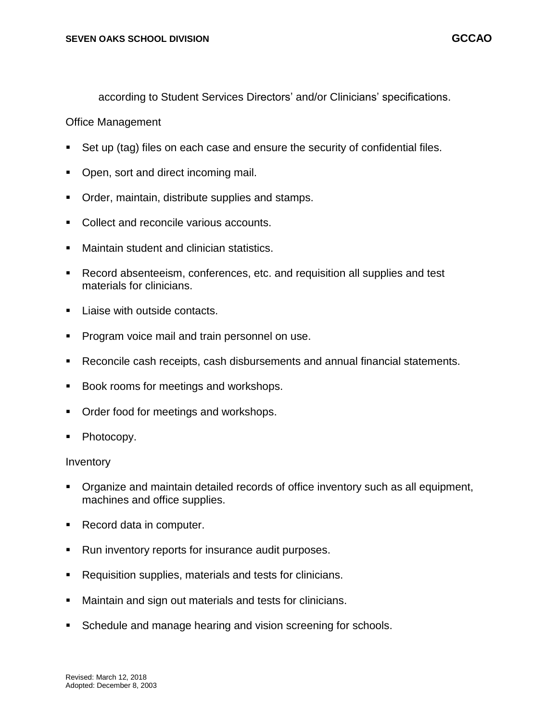according to Student Services Directors' and/or Clinicians' specifications.

### Office Management

- Set up (tag) files on each case and ensure the security of confidential files.
- Open, sort and direct incoming mail.
- **Order, maintain, distribute supplies and stamps.**
- **Collect and reconcile various accounts.**
- Maintain student and clinician statistics.
- Record absenteeism, conferences, etc. and requisition all supplies and test materials for clinicians.
- Liaise with outside contacts.
- **Program voice mail and train personnel on use.**
- Reconcile cash receipts, cash disbursements and annual financial statements.
- Book rooms for meetings and workshops.
- Order food for meetings and workshops.
- Photocopy.

#### Inventory

- Organize and maintain detailed records of office inventory such as all equipment, machines and office supplies.
- Record data in computer.
- Run inventory reports for insurance audit purposes.
- Requisition supplies, materials and tests for clinicians.
- Maintain and sign out materials and tests for clinicians.
- Schedule and manage hearing and vision screening for schools.